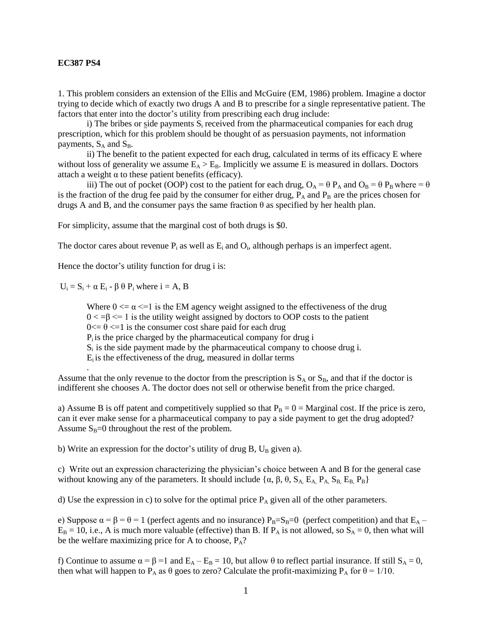## **EC387 PS4**

1. This problem considers an extension of the Ellis and McGuire (EM, 1986) problem. Imagine a doctor trying to decide which of exactly two drugs A and B to prescribe for a single representative patient. The factors that enter into the doctor's utility from prescribing each drug include:

i) The bribes or side payments  $S_i$  received from the pharmaceutical companies for each drug prescription, which for this problem should be thought of as persuasion payments, not information payments,  $S_A$  and  $S_B$ .

ii) The benefit to the patient expected for each drug, calculated in terms of its efficacy E where without loss of generality we assume  $E_A > E_B$ . Implicitly we assume E is measured in dollars. Doctors attach a weight  $\alpha$  to these patient benefits (efficacy).

iii) The out of pocket (OOP) cost to the patient for each drug,  $O_A = \theta P_A$  and  $O_B = \theta P_B$  where =  $\theta$ is the fraction of the drug fee paid by the consumer for either drug,  $P_A$  and  $P_B$  are the prices chosen for drugs A and B, and the consumer pays the same fraction  $\theta$  as specified by her health plan.

For simplicity, assume that the marginal cost of both drugs is \$0.

The doctor cares about revenue  $P_i$  as well as  $E_i$  and  $O_i$ , although perhaps is an imperfect agent.

Hence the doctor's utility function for drug i is:

 $U_i = S_i + \alpha E_i - \beta \theta P_i$  where  $i = A$ , B

Where  $0 \le \alpha \le 1$  is the EM agency weight assigned to the effectiveness of the drug  $0 < -\beta \leq 1$  is the utility weight assigned by doctors to OOP costs to the patient  $0 \le \theta \le 1$  is the consumer cost share paid for each drug Pi is the price charged by the pharmaceutical company for drug i  $S_i$  is the side payment made by the pharmaceutical company to choose drug i. Ei is the effectiveness of the drug, measured in dollar terms .

Assume that the only revenue to the doctor from the prescription is  $S_A$  or  $S_B$ , and that if the doctor is indifferent she chooses A. The doctor does not sell or otherwise benefit from the price charged.

a) Assume B is off patent and competitively supplied so that  $P_B = 0 =$  Marginal cost. If the price is zero, can it ever make sense for a pharmaceutical company to pay a side payment to get the drug adopted? Assume  $S_B=0$  throughout the rest of the problem.

b) Write an expression for the doctor's utility of drug B,  $U_B$  given a).

c) Write out an expression characterizing the physician's choice between A and B for the general case without knowing any of the parameters. It should include { $\alpha$ ,  $\beta$ ,  $\theta$ ,  $S_A$ ,  $E_A$ ,  $P_A$ ,  $S_B$ ,  $E_B$ ,  $P_B$ }

d) Use the expression in c) to solve for the optimal price  $P_A$  given all of the other parameters.

e) Suppose  $\alpha = \beta = \theta = 1$  (perfect agents and no insurance)  $P_B = S_B = 0$  (perfect competition) and that  $E_A$  –  $E_B = 10$ , i.e., A is much more valuable (effective) than B. If P<sub>A</sub> is not allowed, so  $S_A = 0$ , then what will be the welfare maximizing price for A to choose,  $P_A$ ?

f) Continue to assume  $\alpha = \beta = 1$  and  $E_A - E_B = 10$ , but allow  $\theta$  to reflect partial insurance. If still  $S_A = 0$ , then what will happen to P<sub>A</sub> as  $\theta$  goes to zero? Calculate the profit-maximizing P<sub>A</sub> for  $\theta = 1/10$ .